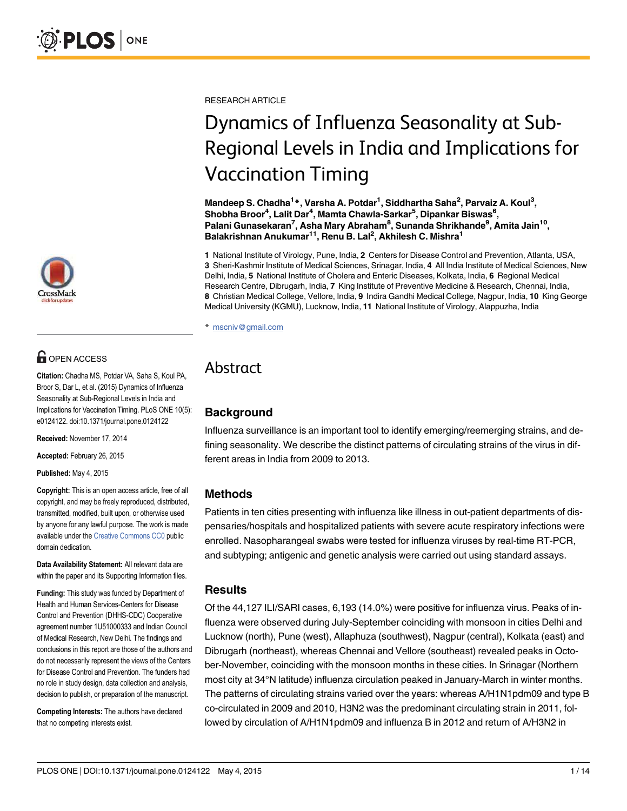

# **OPEN ACCESS**

Citation: Chadha MS, Potdar VA, Saha S, Koul PA, Broor S, Dar L, et al. (2015) Dynamics of Influenza Seasonality at Sub-Regional Levels in India and Implications for Vaccination Timing. PLoS ONE 10(5): e0124122. doi:10.1371/journal.pone.0124122

Received: November 17, 2014

Accepted: February 26, 2015

Published: May 4, 2015

Copyright: This is an open access article, free of all copyright, and may be freely reproduced, distributed, transmitted, modified, built upon, or otherwise used by anyone for any lawful purpose. The work is made available under the Creative Commons CC0 public domain dedication.

Data Availability Statement: All relevant data are within the paper and its Supporting Information files.

Funding: This study was funded by Department of Health and Human Services-Centers for Disease Control and Prevention (DHHS-CDC) Cooperative agreement number 1U51000333 and Indian Council of Medical Research, New Delhi. The findings and conclusions in this report are those of the authors and do not necessarily represent the views of the Centers for Disease Control and Prevention. The funders had no role in study design, data collection and analysis, decision to publish, or preparation of the manuscript.

Competing Interests: The authors have declared that no competing interests exist.

RESEARCH ARTICLE

# Dynamics of Influenza Seasonality at Sub-Regional Levels in India and Implications for Vaccination Timing

Mandeep S. Chadha<sup>1</sup>\*, Varsha A. Potdar<sup>1</sup>, Siddhartha Saha<sup>2</sup>, Parvaiz A. Koul<sup>3</sup>, Shobha Broor<sup>4</sup>, Lalit Dar<sup>4</sup>, Mamta Chawla-Sarkar<sup>5</sup>, Dipankar Biswas<sup>6</sup>, Palani Gunasekaran<sup>7</sup>, Asha Mary Abraham<sup>8</sup>, Sunanda Shrikhande<sup>9</sup>, Amita Jain<sup>10</sup>, Balakrishnan Anukumar<sup>11</sup>, Renu B. Lal<sup>2</sup>, Akhilesh C. Mishra<sup>1</sup>

1 National Institute of Virology, Pune, India, 2 Centers for Disease Control and Prevention, Atlanta, USA, 3 Sheri-Kashmir Institute of Medical Sciences, Srinagar, India, 4 All India Institute of Medical Sciences, New Delhi, India, 5 National Institute of Cholera and Enteric Diseases, Kolkata, India, 6 Regional Medical Research Centre, Dibrugarh, India, 7 King Institute of Preventive Medicine & Research, Chennai, India, 8 Christian Medical College, Vellore, India, 9 Indira Gandhi Medical College, Nagpur, India, 10 King George Medical University (KGMU), Lucknow, India, 11 National Institute of Virology, Alappuzha, India

\* mscniv@gmail.com

## Abstract

## **Background**

Influenza surveillance is an important tool to identify emerging/reemerging strains, and defining seasonality. We describe the distinct patterns of circulating strains of the virus in different areas in India from 2009 to 2013.

## Methods

Patients in ten cities presenting with influenza like illness in out-patient departments of dispensaries/hospitals and hospitalized patients with severe acute respiratory infections were enrolled. Nasopharangeal swabs were tested for influenza viruses by real-time RT-PCR, and subtyping; antigenic and genetic analysis were carried out using standard assays.

#### **Results**

Of the 44,127 ILI/SARI cases, 6,193 (14.0%) were positive for influenza virus. Peaks of influenza were observed during July-September coinciding with monsoon in cities Delhi and Lucknow (north), Pune (west), Allaphuza (southwest), Nagpur (central), Kolkata (east) and Dibrugarh (northeast), whereas Chennai and Vellore (southeast) revealed peaks in October-November, coinciding with the monsoon months in these cities. In Srinagar (Northern most city at 34°N latitude) influenza circulation peaked in January-March in winter months. The patterns of circulating strains varied over the years: whereas A/H1N1pdm09 and type B co-circulated in 2009 and 2010, H3N2 was the predominant circulating strain in 2011, followed by circulation of A/H1N1pdm09 and influenza B in 2012 and return of A/H3N2 in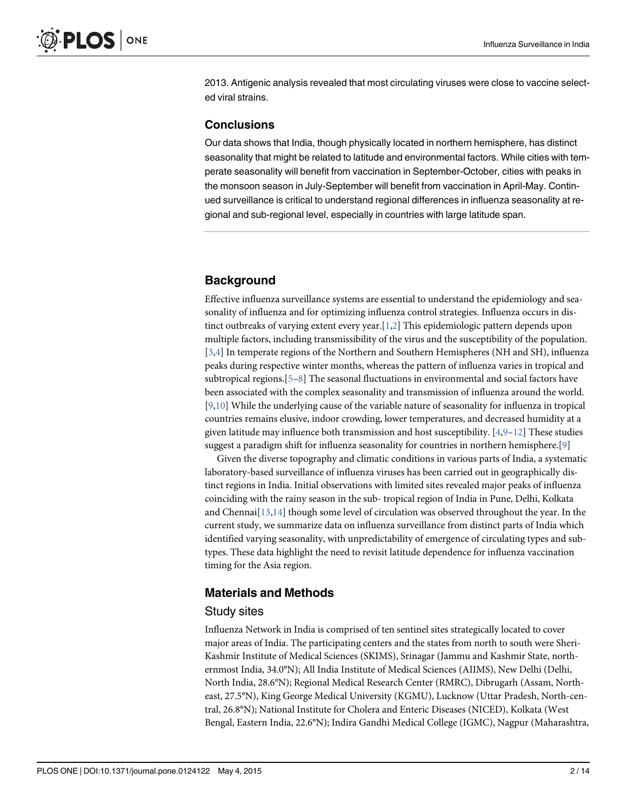2013. Antigenic analysis revealed that most circulating viruses were close to vaccine selected viral strains.

#### **Conclusions**

Our data shows that India, though physically located in northern hemisphere, has distinct seasonality that might be related to latitude and environmental factors. While cities with temperate seasonality will benefit from vaccination in September-October, cities with peaks in the monsoon season in July-September will benefit from vaccination in April-May. Continued surveillance is critical to understand regional differences in influenza seasonality at regional and sub-regional level, especially in countries with large latitude span.

## **Background**

Effective influenza surveillance systems are essential to understand the epidemiology and seasonality of influenza and for optimizing influenza control strategies. Influenza occurs in distinct outbreaks of varying extent every year.[1,2] This epidemiologic pattern depends upon multiple factors, including transmissibility of the virus and the susceptibility of the population. [3,4] In temperate regions of the Northern and Southern Hemispheres (NH and SH), influenza peaks during respective winter months, whereas the pattern of influenza varies in tropical and subtropical regions.  $[5-8]$  The seasonal fluctuations in environmental and social factors have been associated with the complex seasonality and transmission of influenza around the world. [9,10] While the underlying cause of the variable nature of seasonality for influenza in tropical countries remains elusive, indoor crowding, lower temperatures, and decreased humidity at a given latitude may influence both transmission and host susceptibility.  $[4,9-12]$  These studies suggest a paradigm shift for influenza seasonality for countries in northern hemisphere.[9]

Given the diverse topography and climatic conditions in various parts of India, a systematic laboratory-based surveillance of influenza viruses has been carried out in geographically distinct regions in India. Initial observations with limited sites revealed major peaks of influenza coinciding with the rainy season in the sub- tropical region of India in Pune, Delhi, Kolkata and Chennai<sup>[13,14]</sup> though some level of circulation was observed throughout the year. In the current study, we summarize data on influenza surveillance from distinct parts of India which identified varying seasonality, with unpredictability of emergence of circulating types and subtypes. These data highlight the need to revisit latitude dependence for influenza vaccination timing for the Asia region.

#### Materials and Methods

#### Study sites

Influenza Network in India is comprised of ten sentinel sites strategically located to cover major areas of India. The participating centers and the states from north to south were Sheri-Kashmir Institute of Medical Sciences (SKIMS), Srinagar (Jammu and Kashmir State, northernmost India, 34.0°N); All India Institute of Medical Sciences (AIIMS), New Delhi (Delhi, North India, 28.6°N); Regional Medical Research Center (RMRC), Dibrugarh (Assam, Northeast, 27.5°N), King George Medical University (KGMU), Lucknow (Uttar Pradesh, North-central, 26.8°N); National Institute for Cholera and Enteric Diseases (NICED), Kolkata (West Bengal, Eastern India, 22.6°N); Indira Gandhi Medical College (IGMC), Nagpur (Maharashtra,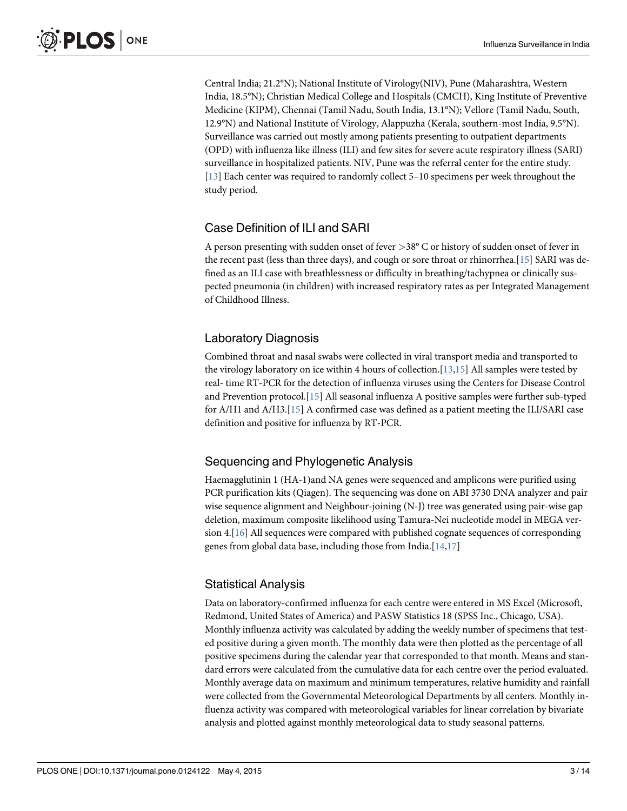Central India; 21.2°N); National Institute of Virology(NIV), Pune (Maharashtra, Western India, 18.5°N); Christian Medical College and Hospitals (CMCH), King Institute of Preventive Medicine (KIPM), Chennai (Tamil Nadu, South India, 13.1°N); Vellore (Tamil Nadu, South, 12.9°N) and National Institute of Virology, Alappuzha (Kerala, southern-most India, 9.5°N). Surveillance was carried out mostly among patients presenting to outpatient departments (OPD) with influenza like illness (ILI) and few sites for severe acute respiratory illness (SARI) surveillance in hospitalized patients. NIV, Pune was the referral center for the entire study. [13] Each center was required to randomly collect 5–10 specimens per week throughout the study period.

## Case Definition of ILI and SARI

A person presenting with sudden onset of fever >38° C or history of sudden onset of fever in the recent past (less than three days), and cough or sore throat or rhinorrhea.[15] SARI was defined as an ILI case with breathlessness or difficulty in breathing/tachypnea or clinically suspected pneumonia (in children) with increased respiratory rates as per Integrated Management of Childhood Illness.

## Laboratory Diagnosis

Combined throat and nasal swabs were collected in viral transport media and transported to the virology laboratory on ice within 4 hours of collection.[13,15] All samples were tested by real- time RT-PCR for the detection of influenza viruses using the Centers for Disease Control and Prevention protocol.[15] All seasonal influenza A positive samples were further sub-typed for A/H1 and A/H3.[15] A confirmed case was defined as a patient meeting the ILI/SARI case definition and positive for influenza by RT-PCR.

## Sequencing and Phylogenetic Analysis

Haemagglutinin 1 (HA-1)and NA genes were sequenced and amplicons were purified using PCR purification kits (Qiagen). The sequencing was done on ABI 3730 DNA analyzer and pair wise sequence alignment and Neighbour-joining (N-J) tree was generated using pair-wise gap deletion, maximum composite likelihood using Tamura-Nei nucleotide model in MEGA version 4.[16] All sequences were compared with published cognate sequences of corresponding genes from global data base, including those from India.[14,17]

## Statistical Analysis

Data on laboratory-confirmed influenza for each centre were entered in MS Excel (Microsoft, Redmond, United States of America) and PASW Statistics 18 (SPSS Inc., Chicago, USA). Monthly influenza activity was calculated by adding the weekly number of specimens that tested positive during a given month. The monthly data were then plotted as the percentage of all positive specimens during the calendar year that corresponded to that month. Means and standard errors were calculated from the cumulative data for each centre over the period evaluated. Monthly average data on maximum and minimum temperatures, relative humidity and rainfall were collected from the Governmental Meteorological Departments by all centers. Monthly influenza activity was compared with meteorological variables for linear correlation by bivariate analysis and plotted against monthly meteorological data to study seasonal patterns.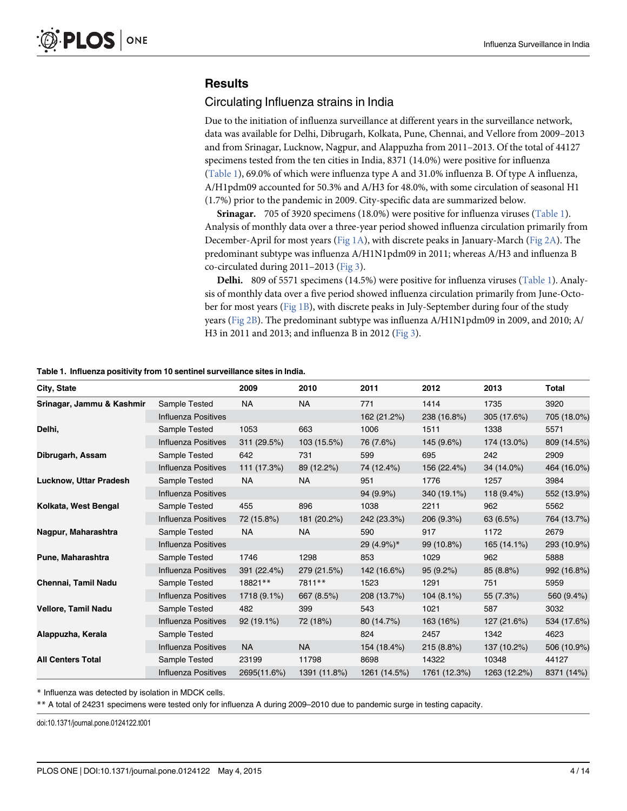## **Results**

#### Circulating Influenza strains in India

Due to the initiation of influenza surveillance at different years in the surveillance network, data was available for Delhi, Dibrugarh, Kolkata, Pune, Chennai, and Vellore from 2009–2013 and from Srinagar, Lucknow, Nagpur, and Alappuzha from 2011–2013. Of the total of 44127 specimens tested from the ten cities in India, 8371 (14.0%) were positive for influenza (Table 1), 69.0% of which were influenza type A and 31.0% influenza B. Of type A influenza, A/H1pdm09 accounted for 50.3% and A/H3 for 48.0%, with some circulation of seasonal H1 (1.7%) prior to the pandemic in 2009. City-specific data are summarized below.

Srinagar. 705 of 3920 specimens (18.0%) were positive for influenza viruses (Table 1). Analysis of monthly data over a three-year period showed influenza circulation primarily from December-April for most years ( $Fig 1A$ ), with discrete peaks in January-March ( $Fig 2A$ ). The predominant subtype was influenza A/H1N1pdm09 in 2011; whereas A/H3 and influenza B co-circulated during 2011–2013 (Fig 3).

Delhi. 809 of 5571 specimens (14.5%) were positive for influenza viruses (Table 1). Analysis of monthly data over a five period showed influenza circulation primarily from June-October for most years (Fig 1B), with discrete peaks in July-September during four of the study years (Fig 2B). The predominant subtype was influenza A/H1N1pdm09 in 2009, and 2010; A/ H3 in 2011 and 2013; and influenza B in 2012 (Fig 3).

| City, State                   |                            | 2009        | 2010         | 2011         | 2012         | 2013         | Total       |
|-------------------------------|----------------------------|-------------|--------------|--------------|--------------|--------------|-------------|
| Srinagar, Jammu & Kashmir     | Sample Tested              | <b>NA</b>   | <b>NA</b>    | 771          | 1414         | 1735         | 3920        |
|                               | Influenza Positives        |             |              | 162 (21.2%)  | 238 (16.8%)  | 305 (17.6%)  | 705 (18.0%) |
| Delhi,                        | <b>Sample Tested</b>       | 1053        | 663          | 1006         | 1511         | 1338         | 5571        |
|                               | <b>Influenza Positives</b> | 311 (29.5%) | 103 (15.5%)  | 76 (7.6%)    | 145 (9.6%)   | 174 (13.0%)  | 809 (14.5%) |
| Dibrugarh, Assam              | Sample Tested              | 642         | 731          | 599          | 695          | 242          | 2909        |
|                               | <b>Influenza Positives</b> | 111 (17.3%) | 89 (12.2%)   | 74 (12.4%)   | 156 (22.4%)  | 34 (14.0%)   | 464 (16.0%) |
| <b>Lucknow, Uttar Pradesh</b> | Sample Tested              | <b>NA</b>   | <b>NA</b>    | 951          | 1776         | 1257         | 3984        |
|                               | Influenza Positives        |             |              | 94 (9.9%)    | 340 (19.1%)  | $118(9.4\%)$ | 552 (13.9%) |
| Kolkata, West Bengal          | Sample Tested              | 455         | 896          | 1038         | 2211         | 962          | 5562        |
|                               | Influenza Positives        | 72 (15.8%)  | 181 (20.2%)  | 242 (23.3%)  | 206 (9.3%)   | 63 (6.5%)    | 764 (13.7%) |
| Nagpur, Maharashtra           | Sample Tested              | <b>NA</b>   | <b>NA</b>    | 590          | 917          | 1172         | 2679        |
|                               | Influenza Positives        |             |              | $29(4.9\%)*$ | 99 (10.8%)   | 165 (14.1%)  | 293 (10.9%) |
| Pune, Maharashtra             | Sample Tested              | 1746        | 1298         | 853          | 1029         | 962          | 5888        |
|                               | <b>Influenza Positives</b> | 391 (22.4%) | 279 (21.5%)  | 142 (16.6%)  | 95 (9.2%)    | 85 (8.8%)    | 992 (16.8%) |
| Chennai, Tamil Nadu           | Sample Tested              | 18821**     | 7811**       | 1523         | 1291         | 751          | 5959        |
|                               | Influenza Positives        | 1718 (9.1%) | 667 (8.5%)   | 208 (13.7%)  | $104(8.1\%)$ | 55 (7.3%)    | 560 (9.4%)  |
| <b>Vellore, Tamil Nadu</b>    | Sample Tested              | 482         | 399          | 543          | 1021         | 587          | 3032        |
|                               | <b>Influenza Positives</b> | 92 (19.1%)  | 72 (18%)     | 80 (14.7%)   | 163 (16%)    | 127 (21.6%)  | 534 (17.6%) |
| Alappuzha, Kerala             | Sample Tested              |             |              | 824          | 2457         | 1342         | 4623        |
|                               | <b>Influenza Positives</b> | <b>NA</b>   | <b>NA</b>    | 154 (18.4%)  | 215(8.8%)    | 137 (10.2%)  | 506 (10.9%) |
| <b>All Centers Total</b>      | <b>Sample Tested</b>       | 23199       | 11798        | 8698         | 14322        | 10348        | 44127       |
|                               | <b>Influenza Positives</b> | 2695(11.6%) | 1391 (11.8%) | 1261 (14.5%) | 1761 (12.3%) | 1263 (12.2%) | 8371 (14%)  |

#### Table 1. Influenza positivity from 10 sentinel surveillance sites in India.

\* Influenza was detected by isolation in MDCK cells.

\*\* A total of 24231 specimens were tested only for influenza A during 2009–2010 due to pandemic surge in testing capacity.

doi:10.1371/journal.pone.0124122.t001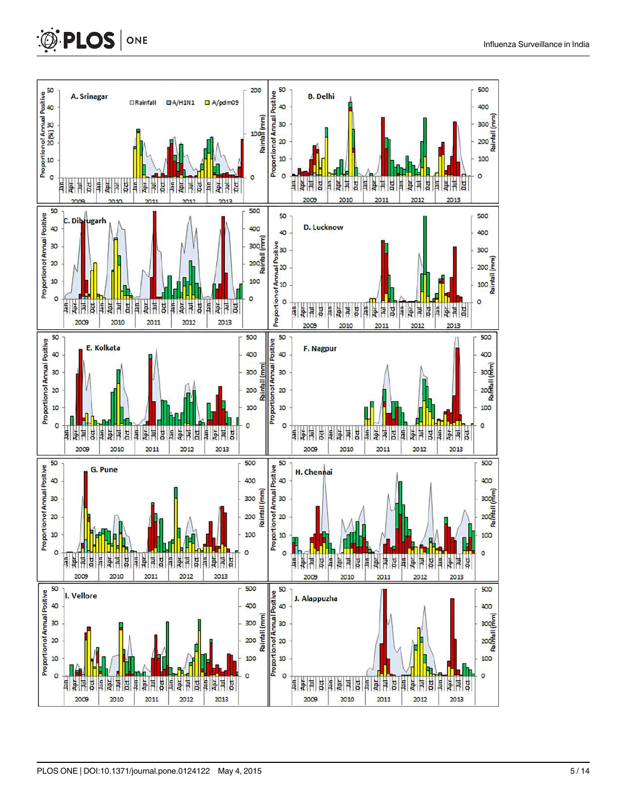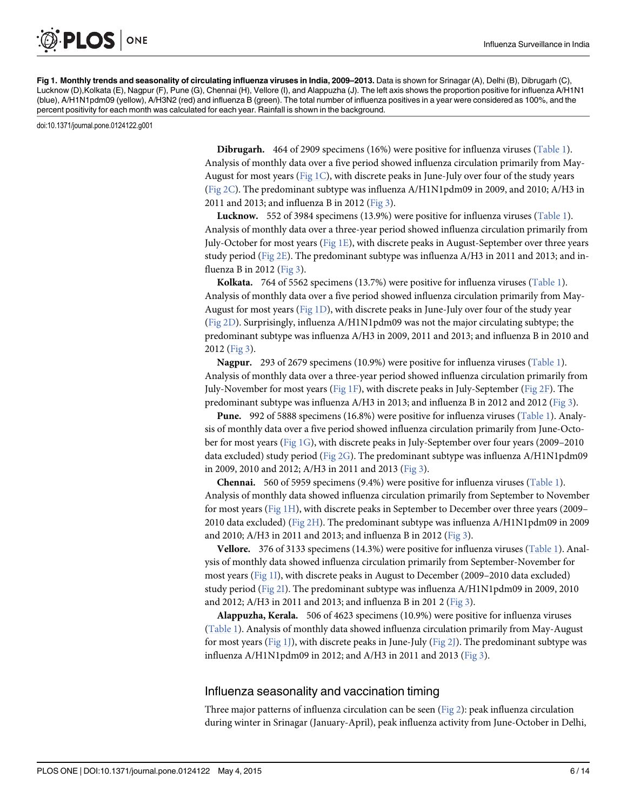

Fig 1. Monthly trends and seasonality of circulating influenza viruses in India, 2009–2013. Data is shown for Srinagar (A), Delhi (B), Dibrugarh (C), Lucknow (D),Kolkata (E), Nagpur (F), Pune (G), Chennai (H), Vellore (I), and Alappuzha (J). The left axis shows the proportion positive for influenza A/H1N1 (blue), A/H1N1pdm09 (yellow), A/H3N2 (red) and influenza B (green). The total number of influenza positives in a year were considered as 100%, and the percent positivity for each month was calculated for each year. Rainfall is shown in the background.

doi:10.1371/journal.pone.0124122.g001

Dibrugarh. 464 of 2909 specimens (16%) were positive for influenza viruses (Table 1). Analysis of monthly data over a five period showed influenza circulation primarily from May-August for most years (Fig  $1C$ ), with discrete peaks in June-July over four of the study years (Fig 2C). The predominant subtype was influenza A/H1N1pdm09 in 2009, and 2010; A/H3 in 2011 and 2013; and influenza B in 2012 (Fig 3).

Lucknow. 552 of 3984 specimens (13.9%) were positive for influenza viruses (Table 1). Analysis of monthly data over a three-year period showed influenza circulation primarily from July-October for most years (Fig 1E), with discrete peaks in August-September over three years study period (Fig 2E). The predominant subtype was influenza  $A/H3$  in 2011 and 2013; and influenza B in 2012 (Fig 3).

Kolkata. 764 of 5562 specimens (13.7%) were positive for influenza viruses (Table 1). Analysis of monthly data over a five period showed influenza circulation primarily from May-August for most years ( $Fig 1D$ ), with discrete peaks in June-July over four of the study year (Fig 2D). Surprisingly, influenza A/H1N1pdm09 was not the major circulating subtype; the predominant subtype was influenza A/H3 in 2009, 2011 and 2013; and influenza B in 2010 and 2012 (Fig 3).

Nagpur. 293 of 2679 specimens (10.9%) were positive for influenza viruses (Table 1). Analysis of monthly data over a three-year period showed influenza circulation primarily from July-November for most years (Fig 1F), with discrete peaks in July-September (Fig 2F). The predominant subtype was influenza A/H3 in 2013; and influenza B in 2012 and 2012 (Fig 3).

Pune. 992 of 5888 specimens (16.8%) were positive for influenza viruses (Table 1). Analysis of monthly data over a five period showed influenza circulation primarily from June-October for most years (Fig 1G), with discrete peaks in July-September over four years (2009–2010 data excluded) study period ( $Fig 2G$ ). The predominant subtype was influenza A/H1N1pdm09 in 2009, 2010 and 2012; A/H3 in 2011 and 2013 (Fig 3).

Chennai. 560 of 5959 specimens (9.4%) were positive for influenza viruses (Table 1). Analysis of monthly data showed influenza circulation primarily from September to November for most years (Fig 1H), with discrete peaks in September to December over three years (2009– 2010 data excluded) ( $Fig 2H$ ). The predominant subtype was influenza  $A/H1N1pdm09$  in 2009 and 2010; A/H3 in 2011 and 2013; and influenza B in 2012 (Fig 3).

Vellore. 376 of 3133 specimens (14.3%) were positive for influenza viruses (Table 1). Analysis of monthly data showed influenza circulation primarily from September-November for most years (Fig 1I), with discrete peaks in August to December (2009–2010 data excluded) study period (Fig 2I). The predominant subtype was influenza A/H1N1pdm09 in 2009, 2010 and 2012; A/H3 in 2011 and 2013; and influenza B in 201 2 (Fig 3).

Alappuzha, Kerala. 506 of 4623 specimens (10.9%) were positive for influenza viruses (Table 1). Analysis of monthly data showed influenza circulation primarily from May-August for most years ( $Fig 1$ ), with discrete peaks in June-July ( $Fig 2$ ]). The predominant subtype was influenza A/H1N1pdm09 in 2012; and A/H3 in 2011 and 2013 (Fig 3).

#### Influenza seasonality and vaccination timing

Three major patterns of influenza circulation can be seen  $(Fig 2)$ : peak influenza circulation during winter in Srinagar (January-April), peak influenza activity from June-October in Delhi,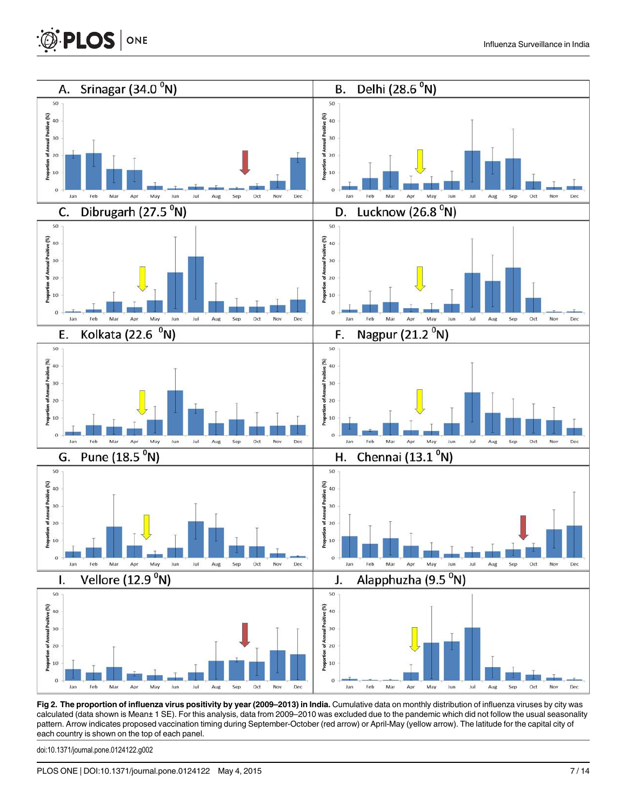



Fig 2. The proportion of influenza virus positivity by year (2009–2013) in India. Cumulative data on monthly distribution of influenza viruses by city was calculated (data shown is Mean± 1 SE). For this analysis, data from 2009–2010 was excluded due to the pandemic which did not follow the usual seasonality pattern. Arrow indicates proposed vaccination timing during September-October (red arrow) or April-May (yellow arrow). The latitude for the capital city of each country is shown on the top of each panel.

doi:10.1371/journal.pone.0124122.g002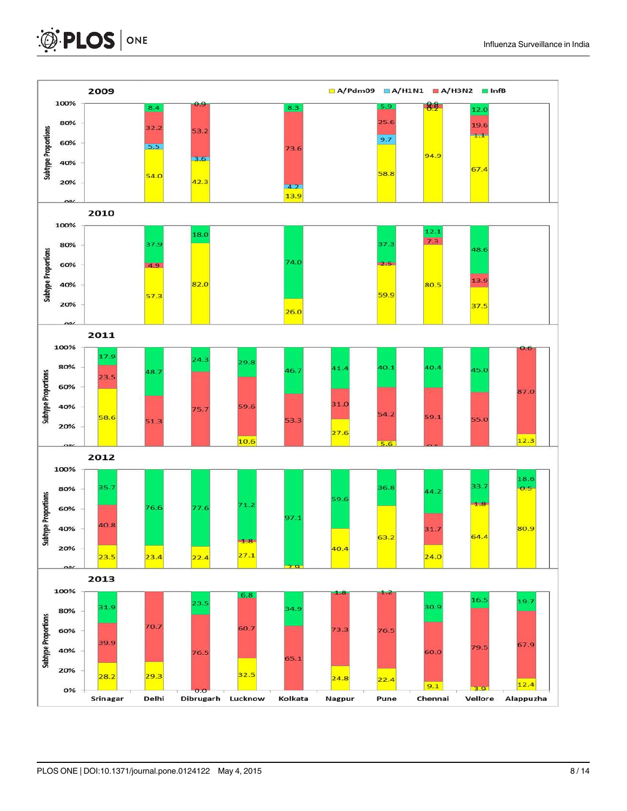

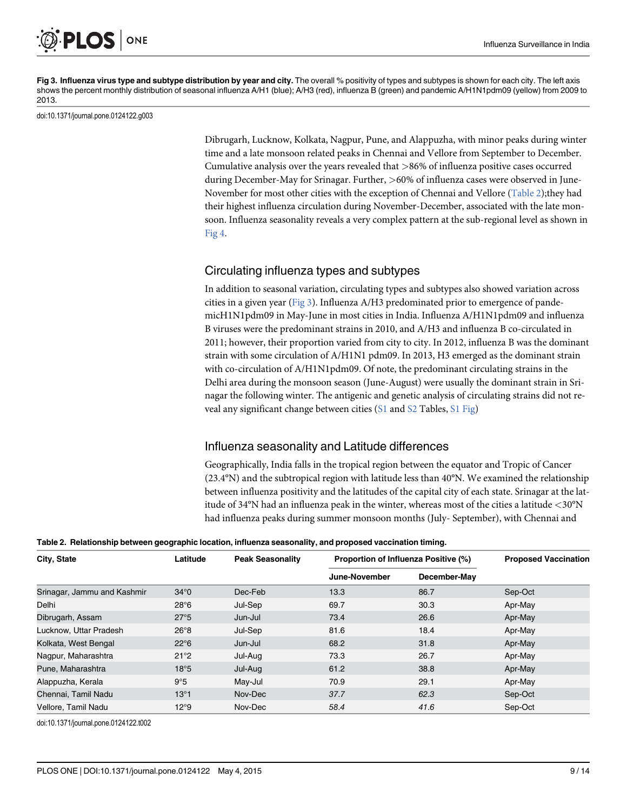

Fig 3. Influenza virus type and subtype distribution by year and city. The overall % positivity of types and subtypes is shown for each city. The left axis shows the percent monthly distribution of seasonal influenza A/H1 (blue); A/H3 (red), influenza B (green) and pandemic A/H1N1pdm09 (yellow) from 2009 to 2013.

doi:10.1371/journal.pone.0124122.g003

Dibrugarh, Lucknow, Kolkata, Nagpur, Pune, and Alappuzha, with minor peaks during winter time and a late monsoon related peaks in Chennai and Vellore from September to December. Cumulative analysis over the years revealed that >86% of influenza positive cases occurred during December-May for Srinagar. Further, >60% of influenza cases were observed in June-November for most other cities with the exception of Chennai and Vellore (Table 2);they had their highest influenza circulation during November-December, associated with the late monsoon. Influenza seasonality reveals a very complex pattern at the sub-regional level as shown in Fig 4.

## Circulating influenza types and subtypes

In addition to seasonal variation, circulating types and subtypes also showed variation across cities in a given year ( $Fig 3$ ). Influenza A/H3 predominated prior to emergence of pandemicH1N1pdm09 in May-June in most cities in India. Influenza A/H1N1pdm09 and influenza B viruses were the predominant strains in 2010, and A/H3 and influenza B co-circulated in 2011; however, their proportion varied from city to city. In 2012, influenza B was the dominant strain with some circulation of A/H1N1 pdm09. In 2013, H3 emerged as the dominant strain with co-circulation of A/H1N1pdm09. Of note, the predominant circulating strains in the Delhi area during the monsoon season (June-August) were usually the dominant strain in Srinagar the following winter. The antigenic and genetic analysis of circulating strains did not reveal any significant change between cities  $(S1$  and  $S2$  Tables,  $S1$  Fig)

#### Influenza seasonality and Latitude differences

Geographically, India falls in the tropical region between the equator and Tropic of Cancer (23.4°N) and the subtropical region with latitude less than 40°N. We examined the relationship between influenza positivity and the latitudes of the capital city of each state. Srinagar at the latitude of 34°N had an influenza peak in the winter, whereas most of the cities a latitude  $\langle 30^\circ N$ had influenza peaks during summer monsoon months (July- September), with Chennai and

|  | Table 2. Relationship between geographic location, influenza seasonality, and proposed vaccination timing. |  |  |  |  |
|--|------------------------------------------------------------------------------------------------------------|--|--|--|--|
|--|------------------------------------------------------------------------------------------------------------|--|--|--|--|

| City, State                 | Latitude      | <b>Peak Seasonality</b> | Proportion of Influenza Positive (%) | <b>Proposed Vaccination</b> |         |  |
|-----------------------------|---------------|-------------------------|--------------------------------------|-----------------------------|---------|--|
|                             |               |                         | June-November                        | December-May                |         |  |
| Srinagar, Jammu and Kashmir | $34^\circ$ 0  | Dec-Feb                 | 13.3                                 | 86.7                        | Sep-Oct |  |
| Delhi                       | $28^\circ 6$  | Jul-Sep                 | 69.7                                 | 30.3                        | Apr-May |  |
| Dibrugarh, Assam            | 27°5          | Jun-Jul                 | 73.4                                 | 26.6                        | Apr-May |  |
| Lucknow. Uttar Pradesh      | $26^\circ 8$  | Jul-Sep                 | 81.6                                 | 18.4                        | Apr-May |  |
| Kolkata, West Bengal        | $22^{\circ}6$ | Jun-Jul                 | 68.2                                 | 31.8                        | Apr-May |  |
| Nagpur, Maharashtra         | 21°2          | Jul-Aug                 | 73.3                                 | 26.7                        | Apr-May |  |
| Pune, Maharashtra           | 18°5          | Jul-Aug                 | 61.2                                 | 38.8                        | Apr-May |  |
| Alappuzha, Kerala           | 9°5           | May-Jul                 | 70.9                                 | 29.1                        | Apr-May |  |
| Chennai, Tamil Nadu         | 13°1          | Nov-Dec                 | 37.7                                 | 62.3                        | Sep-Oct |  |
| Vellore, Tamil Nadu         | 12°9          | Nov-Dec                 | 58.4                                 | 41.6                        | Sep-Oct |  |

doi:10.1371/journal.pone.0124122.t002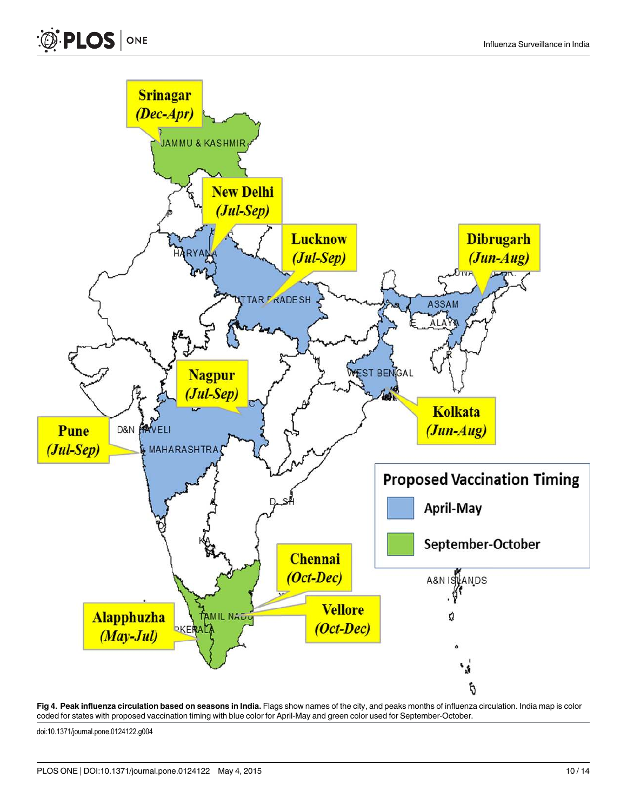

Fig 4. Peak influenza circulation based on seasons in India. Flags show names of the city, and peaks months of influenza circulation. India map is color coded for states with proposed vaccination timing with blue color for April-May and green color used for September-October.

doi:10.1371/journal.pone.0124122.g004

O PLOS ONE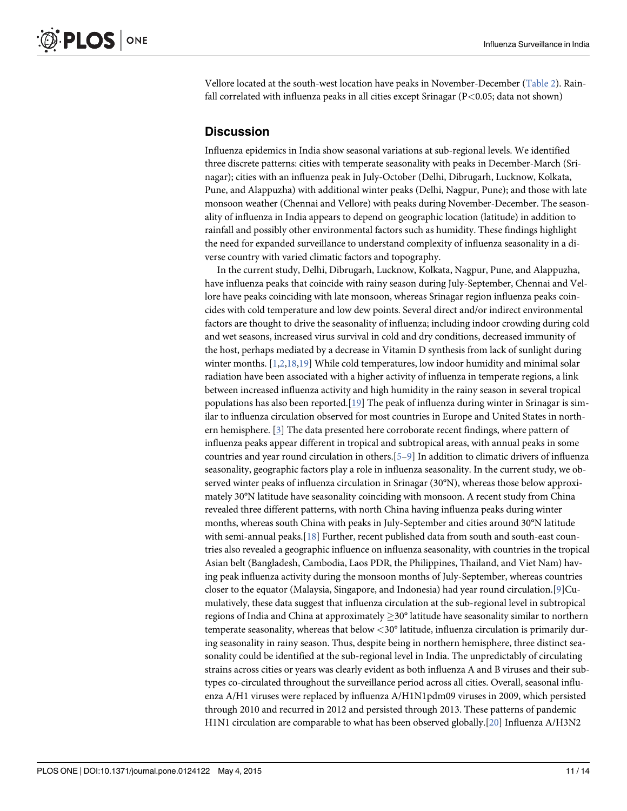Vellore located at the south-west location have peaks in November-December (Table 2). Rainfall correlated with influenza peaks in all cities except Srinagar  $(P<0.05$ ; data not shown)

## **Discussion**

Influenza epidemics in India show seasonal variations at sub-regional levels. We identified three discrete patterns: cities with temperate seasonality with peaks in December-March (Srinagar); cities with an influenza peak in July-October (Delhi, Dibrugarh, Lucknow, Kolkata, Pune, and Alappuzha) with additional winter peaks (Delhi, Nagpur, Pune); and those with late monsoon weather (Chennai and Vellore) with peaks during November-December. The seasonality of influenza in India appears to depend on geographic location (latitude) in addition to rainfall and possibly other environmental factors such as humidity. These findings highlight the need for expanded surveillance to understand complexity of influenza seasonality in a diverse country with varied climatic factors and topography.

In the current study, Delhi, Dibrugarh, Lucknow, Kolkata, Nagpur, Pune, and Alappuzha, have influenza peaks that coincide with rainy season during July-September, Chennai and Vellore have peaks coinciding with late monsoon, whereas Srinagar region influenza peaks coincides with cold temperature and low dew points. Several direct and/or indirect environmental factors are thought to drive the seasonality of influenza; including indoor crowding during cold and wet seasons, increased virus survival in cold and dry conditions, decreased immunity of the host, perhaps mediated by a decrease in Vitamin D synthesis from lack of sunlight during winter months.  $[1,2,18,19]$  While cold temperatures, low indoor humidity and minimal solar radiation have been associated with a higher activity of influenza in temperate regions, a link between increased influenza activity and high humidity in the rainy season in several tropical populations has also been reported.[19] The peak of influenza during winter in Srinagar is similar to influenza circulation observed for most countries in Europe and United States in northern hemisphere. [3] The data presented here corroborate recent findings, where pattern of influenza peaks appear different in tropical and subtropical areas, with annual peaks in some countries and year round circulation in others.[5–9] In addition to climatic drivers of influenza seasonality, geographic factors play a role in influenza seasonality. In the current study, we observed winter peaks of influenza circulation in Srinagar (30°N), whereas those below approximately 30°N latitude have seasonality coinciding with monsoon. A recent study from China revealed three different patterns, with north China having influenza peaks during winter months, whereas south China with peaks in July-September and cities around 30°N latitude with semi-annual peaks.<sup>[18]</sup> Further, recent published data from south and south-east countries also revealed a geographic influence on influenza seasonality, with countries in the tropical Asian belt (Bangladesh, Cambodia, Laos PDR, the Philippines, Thailand, and Viet Nam) having peak influenza activity during the monsoon months of July-September, whereas countries closer to the equator (Malaysia, Singapore, and Indonesia) had year round circulation.[9]Cumulatively, these data suggest that influenza circulation at the sub-regional level in subtropical regions of India and China at approximately  $\geq$ 30° latitude have seasonality similar to northern temperate seasonality, whereas that below <30° latitude, influenza circulation is primarily during seasonality in rainy season. Thus, despite being in northern hemisphere, three distinct seasonality could be identified at the sub-regional level in India. The unpredictably of circulating strains across cities or years was clearly evident as both influenza A and B viruses and their subtypes co-circulated throughout the surveillance period across all cities. Overall, seasonal influenza A/H1 viruses were replaced by influenza A/H1N1pdm09 viruses in 2009, which persisted through 2010 and recurred in 2012 and persisted through 2013. These patterns of pandemic H1N1 circulation are comparable to what has been observed globally.[20] Influenza A/H3N2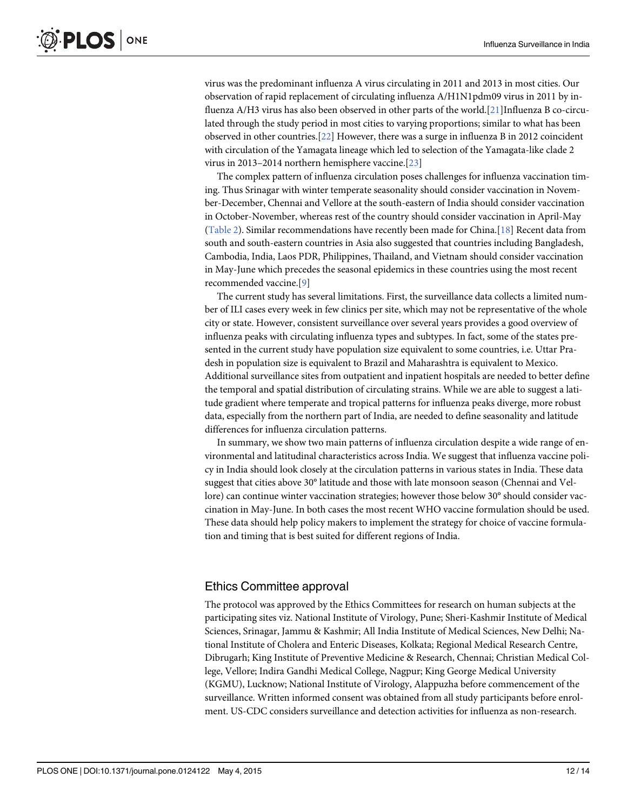virus was the predominant influenza A virus circulating in 2011 and 2013 in most cities. Our observation of rapid replacement of circulating influenza A/H1N1pdm09 virus in 2011 by influenza A/H3 virus has also been observed in other parts of the world.[21] Influenza B co-circulated through the study period in most cities to varying proportions; similar to what has been observed in other countries.[22] However, there was a surge in influenza B in 2012 coincident with circulation of the Yamagata lineage which led to selection of the Yamagata-like clade 2 virus in 2013–2014 northern hemisphere vaccine.[23]

The complex pattern of influenza circulation poses challenges for influenza vaccination timing. Thus Srinagar with winter temperate seasonality should consider vaccination in November-December, Chennai and Vellore at the south-eastern of India should consider vaccination in October-November, whereas rest of the country should consider vaccination in April-May (Table 2). Similar recommendations have recently been made for China.[18] Recent data from south and south-eastern countries in Asia also suggested that countries including Bangladesh, Cambodia, India, Laos PDR, Philippines, Thailand, and Vietnam should consider vaccination in May-June which precedes the seasonal epidemics in these countries using the most recent recommended vaccine.[9]

The current study has several limitations. First, the surveillance data collects a limited number of ILI cases every week in few clinics per site, which may not be representative of the whole city or state. However, consistent surveillance over several years provides a good overview of influenza peaks with circulating influenza types and subtypes. In fact, some of the states presented in the current study have population size equivalent to some countries, i.e. Uttar Pradesh in population size is equivalent to Brazil and Maharashtra is equivalent to Mexico. Additional surveillance sites from outpatient and inpatient hospitals are needed to better define the temporal and spatial distribution of circulating strains. While we are able to suggest a latitude gradient where temperate and tropical patterns for influenza peaks diverge, more robust data, especially from the northern part of India, are needed to define seasonality and latitude differences for influenza circulation patterns.

In summary, we show two main patterns of influenza circulation despite a wide range of environmental and latitudinal characteristics across India. We suggest that influenza vaccine policy in India should look closely at the circulation patterns in various states in India. These data suggest that cities above 30° latitude and those with late monsoon season (Chennai and Vellore) can continue winter vaccination strategies; however those below 30° should consider vaccination in May-June. In both cases the most recent WHO vaccine formulation should be used. These data should help policy makers to implement the strategy for choice of vaccine formulation and timing that is best suited for different regions of India.

#### Ethics Committee approval

The protocol was approved by the Ethics Committees for research on human subjects at the participating sites viz. National Institute of Virology, Pune; Sheri-Kashmir Institute of Medical Sciences, Srinagar, Jammu & Kashmir; All India Institute of Medical Sciences, New Delhi; National Institute of Cholera and Enteric Diseases, Kolkata; Regional Medical Research Centre, Dibrugarh; King Institute of Preventive Medicine & Research, Chennai; Christian Medical College, Vellore; Indira Gandhi Medical College, Nagpur; King George Medical University (KGMU), Lucknow; National Institute of Virology, Alappuzha before commencement of the surveillance. Written informed consent was obtained from all study participants before enrolment. US-CDC considers surveillance and detection activities for influenza as non-research.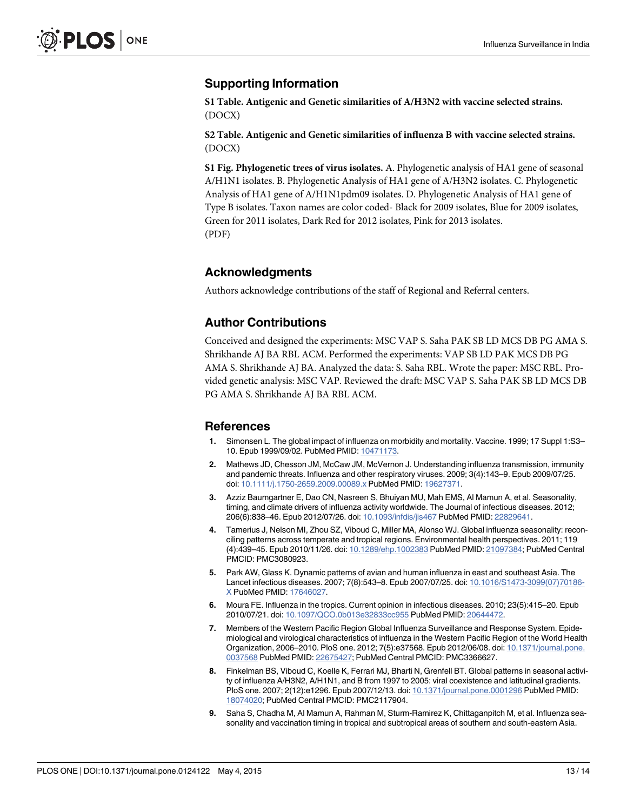## Supporting Information

S1 Table. Antigenic and Genetic similarities of A/H3N2 with vaccine selected strains. (DOCX)

S2 Table. Antigenic and Genetic similarities of influenza B with vaccine selected strains. (DOCX)

S1 Fig. Phylogenetic trees of virus isolates. A. Phylogenetic analysis of HA1 gene of seasonal A/H1N1 isolates. B. Phylogenetic Analysis of HA1 gene of A/H3N2 isolates. C. Phylogenetic Analysis of HA1 gene of A/H1N1pdm09 isolates. D. Phylogenetic Analysis of HA1 gene of Type B isolates. Taxon names are color coded- Black for 2009 isolates, Blue for 2009 isolates, Green for 2011 isolates, Dark Red for 2012 isolates, Pink for 2013 isolates. (PDF)

## Acknowledgments

Authors acknowledge contributions of the staff of Regional and Referral centers.

## Author Contributions

Conceived and designed the experiments: MSC VAP S. Saha PAK SB LD MCS DB PG AMA S. Shrikhande AJ BA RBL ACM. Performed the experiments: VAP SB LD PAK MCS DB PG AMA S. Shrikhande AJ BA. Analyzed the data: S. Saha RBL. Wrote the paper: MSC RBL. Provided genetic analysis: MSC VAP. Reviewed the draft: MSC VAP S. Saha PAK SB LD MCS DB PG AMA S. Shrikhande AJ BA RBL ACM.

#### References

- 1. Simonsen L. The global impact of influenza on morbidity and mortality. Vaccine. 1999; 17 Suppl 1:S3– 10. Epub 1999/09/02. PubMed PMID: 10471173.
- 2. Mathews JD, Chesson JM, McCaw JM, McVernon J. Understanding influenza transmission, immunity and pandemic threats. Influenza and other respiratory viruses. 2009; 3(4):143–9. Epub 2009/07/25. doi: 10.1111/j.1750-2659.2009.00089.x PubMed PMID: 19627371.
- 3. Azziz Baumgartner E, Dao CN, Nasreen S, Bhuiyan MU, Mah EMS, Al Mamun A, et al. Seasonality, timing, and climate drivers of influenza activity worldwide. The Journal of infectious diseases. 2012; 206(6):838–46. Epub 2012/07/26. doi: 10.1093/infdis/jis467 PubMed PMID: 22829641.
- 4. Tamerius J, Nelson MI, Zhou SZ, Viboud C, Miller MA, Alonso WJ. Global influenza seasonality: reconciling patterns across temperate and tropical regions. Environmental health perspectives. 2011; 119 (4):439–45. Epub 2010/11/26. doi: 10.1289/ehp.1002383 PubMed PMID: 21097384; PubMed Central PMCID: PMC3080923.
- 5. Park AW, Glass K. Dynamic patterns of avian and human influenza in east and southeast Asia. The Lancet infectious diseases. 2007; 7(8):543–8. Epub 2007/07/25. doi: 10.1016/S1473-3099(07)70186- X PubMed PMID: 17646027.
- 6. Moura FE. Influenza in the tropics. Current opinion in infectious diseases. 2010; 23(5):415–20. Epub 2010/07/21. doi: 10.1097/QCO.0b013e32833cc955 PubMed PMID: 20644472.
- 7. Members of the Western Pacific Region Global Influenza Surveillance and Response System. Epidemiological and virological characteristics of influenza in the Western Pacific Region of the World Health Organization, 2006–2010. PloS one. 2012; 7(5):e37568. Epub 2012/06/08. doi: 10.1371/journal.pone. 0037568 PubMed PMID: 22675427; PubMed Central PMCID: PMC3366627.
- 8. Finkelman BS, Viboud C, Koelle K, Ferrari MJ, Bharti N, Grenfell BT. Global patterns in seasonal activity of influenza A/H3N2, A/H1N1, and B from 1997 to 2005: viral coexistence and latitudinal gradients. PloS one. 2007; 2(12):e1296. Epub 2007/12/13. doi: 10.1371/journal.pone.0001296 PubMed PMID: 18074020; PubMed Central PMCID: PMC2117904.
- 9. Saha S, Chadha M, Al Mamun A, Rahman M, Sturm-Ramirez K, Chittaganpitch M, et al. Influenza seasonality and vaccination timing in tropical and subtropical areas of southern and south-eastern Asia.